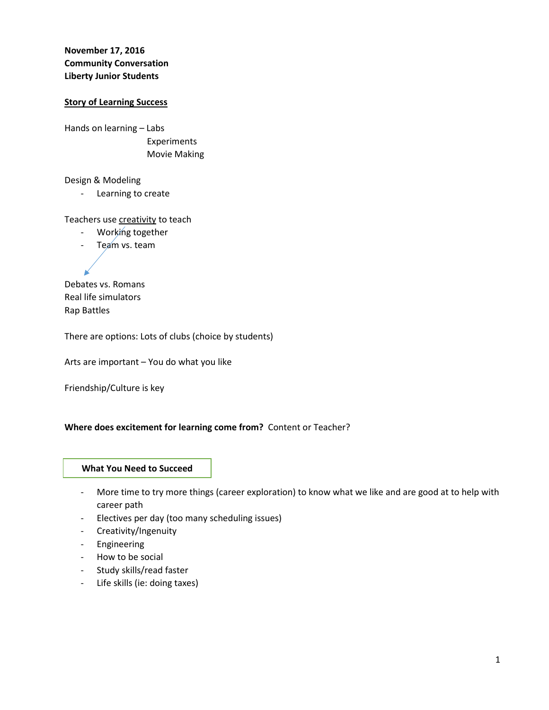**November 17, 2016 Community Conversation Liberty Junior Students**

#### **Story of Learning Success**

Hands on learning – Labs Experiments Movie Making

Design & Modeling

- Learning to create

Teachers use creativity to teach

- Working together
- Team vs. team

Debates vs. Romans Real life simulators Rap Battles

There are options: Lots of clubs (choice by students)

Arts are important – You do what you like

Friendship/Culture is key

## **Where does excitement for learning come from?** Content or Teacher?

# What you need to succeed **What You Need to Succeed**

- More time to try more things (career exploration) to know what we like and are good at to help with career path
- Electives per day (too many scheduling issues)
- Creativity/Ingenuity
- Engineering
- How to be social
- Study skills/read faster
- Life skills (ie: doing taxes)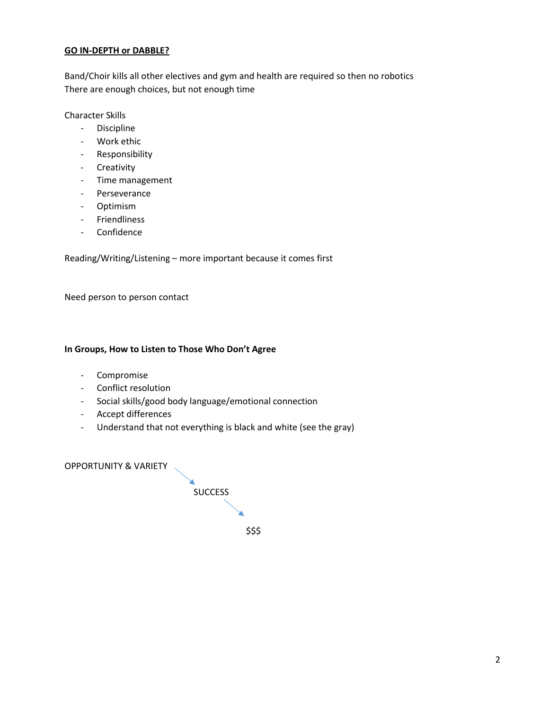## **GO IN-DEPTH or DABBLE?**

Band/Choir kills all other electives and gym and health are required so then no robotics There are enough choices, but not enough time

## Character Skills

- Discipline
- Work ethic
- Responsibility
- Creativity
- Time management
- Perseverance
- Optimism
- Friendliness
- Confidence

Reading/Writing/Listening – more important because it comes first

Need person to person contact

#### **In Groups, How to Listen to Those Who Don't Agree**

- Compromise
- Conflict resolution
- Social skills/good body language/emotional connection
- Accept differences
- Understand that not everything is black and white (see the gray)

OPPORTUNITY & VARIETY

**SUCCESS** \$\$\$